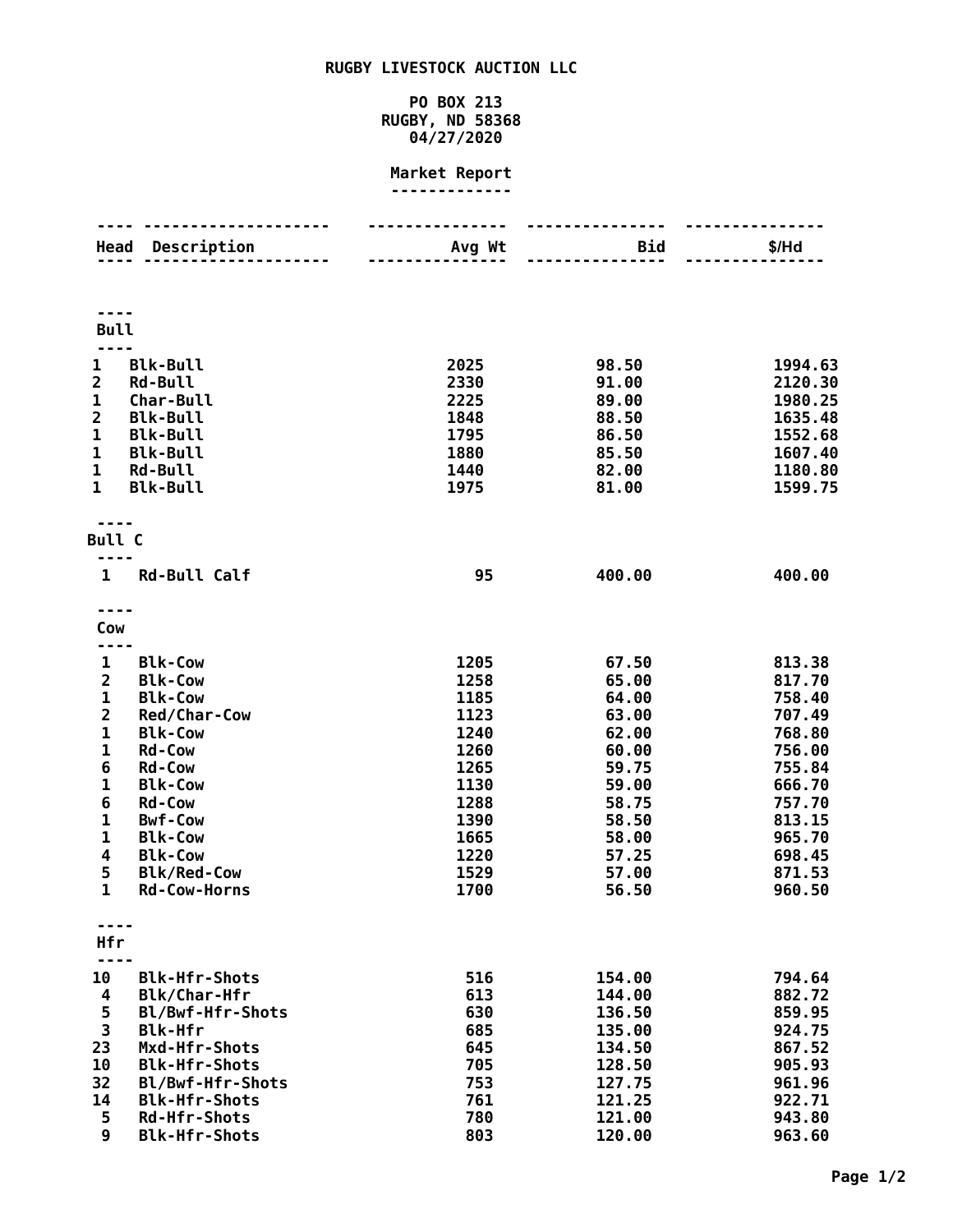## **RUGBY LIVESTOCK AUCTION LLC**

## **PO BOX 213 RUGBY, ND 58368 04/27/2020**

## **Market Report -------------**

| Head                                                                                                                                                                            | Description                                                                                                                                                                                                                                                  | Avg Wt                                                                                                       | <b>Bid</b>                                                                                                                 | \$/Hd                                                                                                                                    |  |  |  |
|---------------------------------------------------------------------------------------------------------------------------------------------------------------------------------|--------------------------------------------------------------------------------------------------------------------------------------------------------------------------------------------------------------------------------------------------------------|--------------------------------------------------------------------------------------------------------------|----------------------------------------------------------------------------------------------------------------------------|------------------------------------------------------------------------------------------------------------------------------------------|--|--|--|
| <b>Bull</b>                                                                                                                                                                     |                                                                                                                                                                                                                                                              |                                                                                                              |                                                                                                                            |                                                                                                                                          |  |  |  |
| 1<br>$\overline{2}$<br>1<br>$\overline{\mathbf{c}}$<br>$\mathbf{1}$<br>$\mathbf 1$<br>1<br>$\mathbf{1}$                                                                         | <b>Blk-Bull</b><br><b>Rd-Bull</b><br>Char-Bull<br><b>Blk-Bull</b><br><b>Blk-Bull</b><br><b>Blk-Bull</b><br><b>Rd-Bull</b><br><b>Blk-Bull</b>                                                                                                                 | 2025<br>2330<br>2225<br>1848<br>1795<br>1880<br>1440<br>1975                                                 | 98.50<br>91.00<br>89.00<br>88.50<br>86.50<br>85.50<br>82.00<br>81.00                                                       | 1994.63<br>2120.30<br>1980.25<br>1635.48<br>1552.68<br>1607.40<br>1180.80<br>1599.75                                                     |  |  |  |
| <b>Bull C</b>                                                                                                                                                                   |                                                                                                                                                                                                                                                              |                                                                                                              |                                                                                                                            |                                                                                                                                          |  |  |  |
| 1                                                                                                                                                                               | <b>Rd-Bull Calf</b>                                                                                                                                                                                                                                          | 95                                                                                                           | 400.00                                                                                                                     | 400.00                                                                                                                                   |  |  |  |
| Cow                                                                                                                                                                             |                                                                                                                                                                                                                                                              |                                                                                                              |                                                                                                                            |                                                                                                                                          |  |  |  |
| $\mathbf 1$<br>$\overline{2}$<br>$\mathbf 1$<br>$\overline{2}$<br>$\mathbf 1$<br>$\mathbf 1$<br>6<br>$\mathbf 1$<br>6<br>$\mathbf{1}$<br>$\mathbf{1}$<br>4<br>5<br>$\mathbf{1}$ | <b>Blk-Cow</b><br><b>Blk-Cow</b><br><b>Blk-Cow</b><br>Red/Char-Cow<br><b>Blk-Cow</b><br><b>Rd-Cow</b><br><b>Rd-Cow</b><br><b>Blk-Cow</b><br><b>Rd-Cow</b><br><b>Bwf-Cow</b><br><b>Blk-Cow</b><br><b>Blk-Cow</b><br><b>Blk/Red-Cow</b><br><b>Rd-Cow-Horns</b> | 1205<br>1258<br>1185<br>1123<br>1240<br>1260<br>1265<br>1130<br>1288<br>1390<br>1665<br>1220<br>1529<br>1700 | 67.50<br>65.00<br>64.00<br>63.00<br>62.00<br>60.00<br>59.75<br>59.00<br>58.75<br>58.50<br>58.00<br>57.25<br>57.00<br>56.50 | 813.38<br>817.70<br>758.40<br>707.49<br>768.80<br>756.00<br>755.84<br>666.70<br>757.70<br>813.15<br>965.70<br>698.45<br>871.53<br>960.50 |  |  |  |
| Hfr                                                                                                                                                                             |                                                                                                                                                                                                                                                              |                                                                                                              |                                                                                                                            |                                                                                                                                          |  |  |  |
| 10<br>4<br>5<br>3<br>23<br>10<br>32<br>14<br>5<br>9                                                                                                                             | <b>Blk-Hfr-Shots</b><br><b>Blk/Char-Hfr</b><br>Bl/Bwf-Hfr-Shots<br><b>Blk-Hfr</b><br>Mxd-Hfr-Shots<br><b>Blk-Hfr-Shots</b><br>Bl/Bwf-Hfr-Shots<br><b>Blk-Hfr-Shots</b><br><b>Rd-Hfr-Shots</b><br><b>Blk-Hfr-Shots</b>                                        | 516<br>613<br>630<br>685<br>645<br>705<br>753<br>761<br>780<br>803                                           | 154.00<br>144.00<br>136.50<br>135.00<br>134.50<br>128.50<br>127.75<br>121.25<br>121.00<br>120.00                           | 794.64<br>882.72<br>859.95<br>924.75<br>867.52<br>905.93<br>961.96<br>922.71<br>943.80<br>963.60                                         |  |  |  |